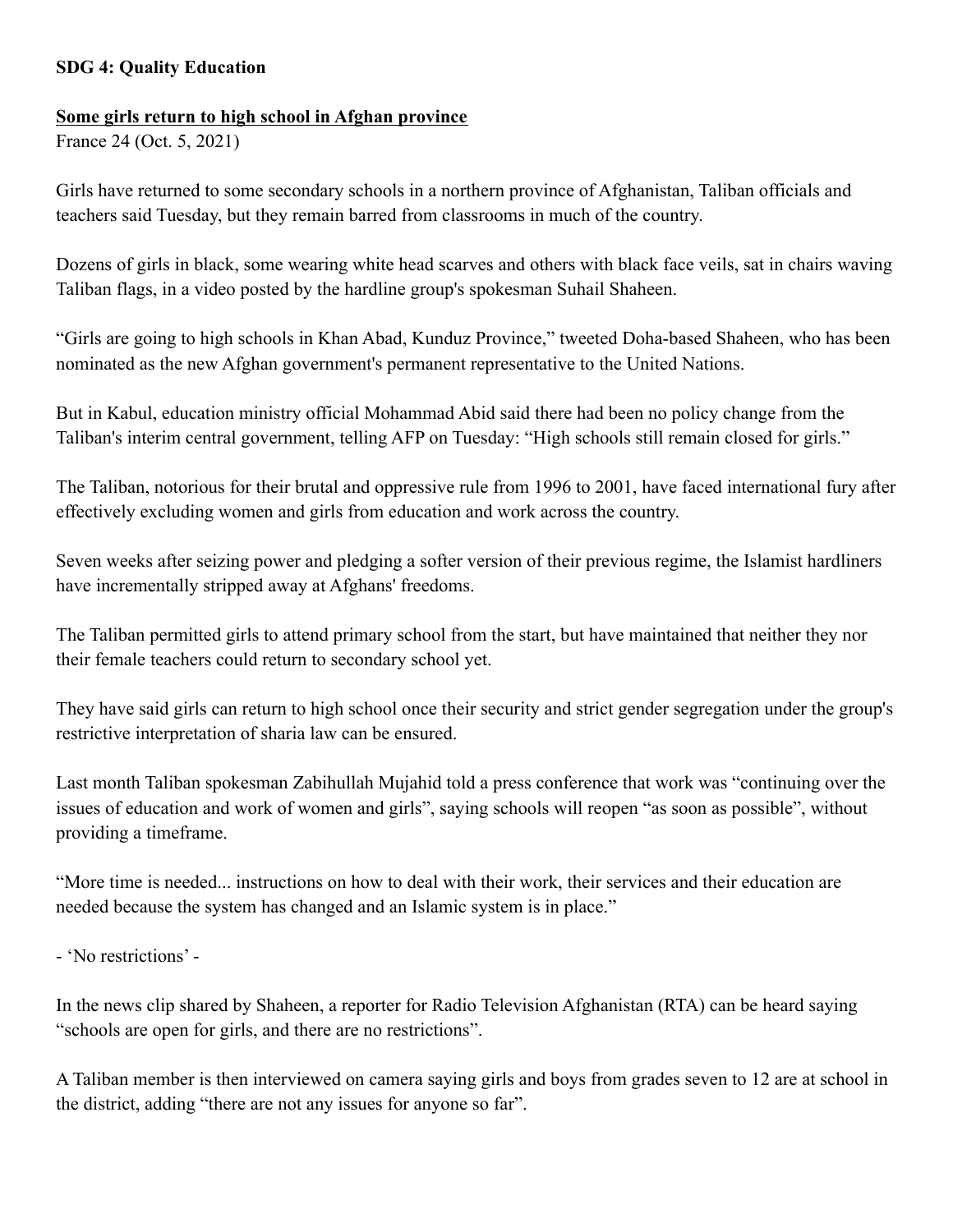## **SDG 4: Quality Education**

## **Some girls return to high school in Afghan province**

France 24 (Oct. 5, 2021)

Girls have returned to some secondary schools in a northern province of Afghanistan, Taliban officials and teachers said Tuesday, but they remain barred from classrooms in much of the country.

Dozens of girls in black, some wearing white head scarves and others with black face veils, sat in chairs waving Taliban flags, in a video posted by the hardline group's spokesman Suhail Shaheen.

"Girls are going to high schools in Khan Abad, Kunduz Province," tweeted Doha-based Shaheen, who has been nominated as the new Afghan government's permanent representative to the United Nations.

But in Kabul, education ministry official Mohammad Abid said there had been no policy change from the Taliban's interim central government, telling AFP on Tuesday: "High schools still remain closed for girls."

The Taliban, notorious for their brutal and oppressive rule from 1996 to 2001, have faced international fury after effectively excluding women and girls from education and work across the country.

Seven weeks after seizing power and pledging a softer version of their previous regime, the Islamist hardliners have incrementally stripped away at Afghans' freedoms.

The Taliban permitted girls to attend primary school from the start, but have maintained that neither they nor their female teachers could return to secondary school yet.

They have said girls can return to high school once their security and strict gender segregation under the group's restrictive interpretation of sharia law can be ensured.

Last month Taliban spokesman Zabihullah Mujahid told a press conference that work was "continuing over the issues of education and work of women and girls", saying schools will reopen "as soon as possible", without providing a timeframe.

"More time is needed... instructions on how to deal with their work, their services and their education are needed because the system has changed and an Islamic system is in place."

- 'No restrictions' -

In the news clip shared by Shaheen, a reporter for Radio Television Afghanistan (RTA) can be heard saying "schools are open for girls, and there are no restrictions".

A Taliban member is then interviewed on camera saying girls and boys from grades seven to 12 are at school in the district, adding "there are not any issues for anyone so far".